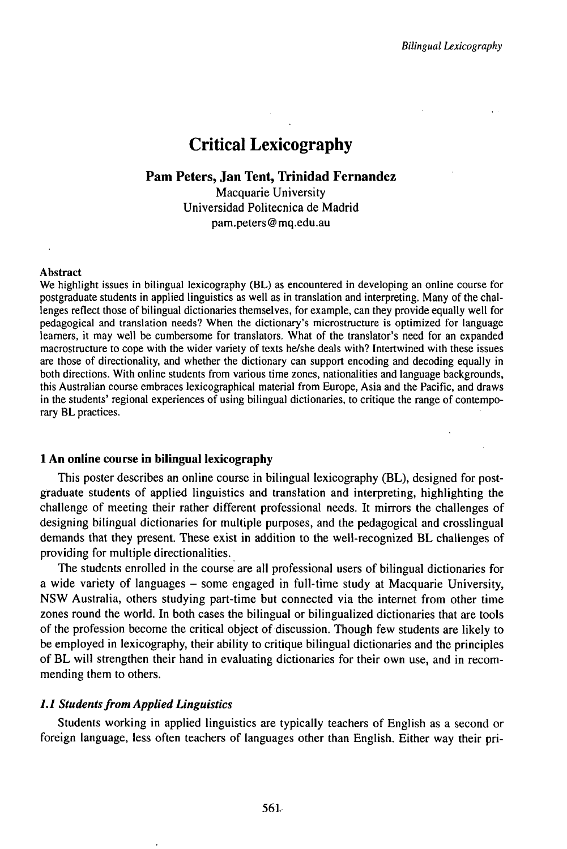# Critical Lexicography

# **Pam Peters, Jan Tent, Trinidad Fernandez**

Macquarie University Universidad Politecnica de Madrid pam.peters@mq.edu.au

#### Abstract

We highlight issues in bilingual lexicography (BL) as encountered in developing an online course for postgraduate students in applied linguistics as well as in translation and interpreting. Many of the challenges reflect those of bilingual dictionaries themselves, for example, can they provide equally well for pedagogical and translation needs? When the dictionary's microstructure is optimized for language learners, it may well be cumbersome for translators. What of the translator's need for an expanded macrostructure to cope with the wider variety of texts he/she deals with? Intertwined with these issues are those of directionality, and whether the dictionary can support encoding and decoding equally in both directions. With online students from various time zones, nationalities and language backgrounds, this Australian course embraces lexicographical material from Europe, Asia and the Pacific, and draws in the students' regional experiences of using bilingual dictionaries, to critique the range of contemporary BL practices.

#### **1 An online course in bilingual lexicography**

This poster describes an online course in bilingual lexicography (BL), designed for postgraduate students of applied linguistics and translation and interpreting, highlighting the challenge of meeting their rather different professional needs. It mirrors the challenges of designing bilingual dictionaries for multiple purposes, and the pedagogical and crosslingual demands that they present. These exist in addition to the well-recognized BL challenges of providing for multiple directionalities.

The students enrolled in the course are all professional users of bilingual dictionaries for <sup>a</sup> wide variety of languages - some engaged in full-time study at Macquarie University, NSW Australia, others studying part-time but connected via the internet from other time zones round the world. In both cases the bilingual or bilingualized dictionaries that are tools of the profession become the critical object of discussion. Though few students are likely to be employed in lexicography, their ability to critique bilingual dictionaries and the principles of BL will strengthen their hand in evaluating dictionaries for their own use, and in recommending them to others.

## *1.1 Studentsfrom Applied Linguistics*

Students working in applied linguistics are typically teachers of English as a second or foreign language, less often teachers of languages other than English. Either way their pri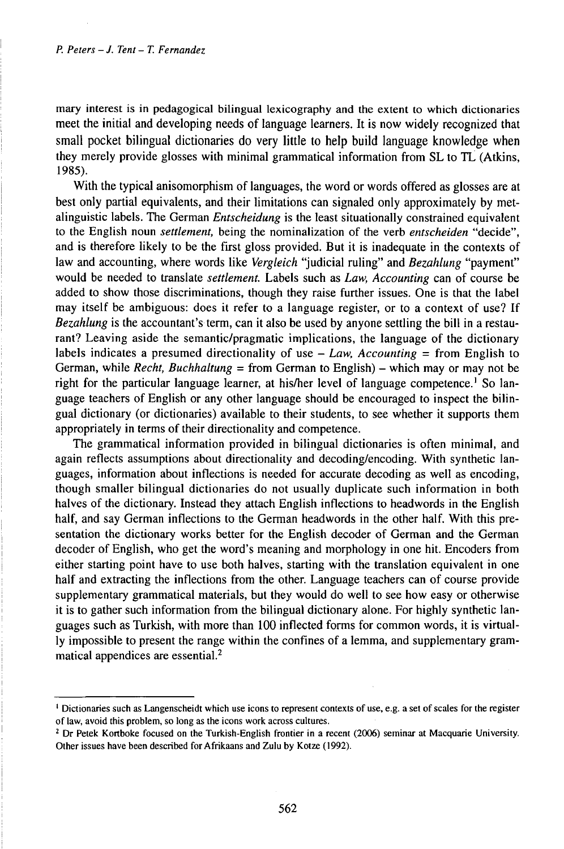mary interest is in pedagogical bilingual lexicography and the extent to which dictionaries meet the initial and developing needs of language learners. It is now widely recognized that small pocket bilingual dictionaries do very little to help build language knowledge when they merely provide glosses with minimal grammatical information from SL to TL (Atkins, 1985).

With the typical anisomorphism of languages, the word or words offered as glosses are at best only partial equivalents, and their limitations can signaled only approximately by metalinguistic labels. The German *Entscheidung* is the least situationally constrained equivalent to the English noun *settlement,* being the nominalization of the verb *entscheiden* "decide", and is therefore likely to be the first gloss provided. But it is inadequate in the contexts of law and accounting, where words like *Vergleich* "judicial ruling" and *Bezahlung* "payment" would be needed to translate *settlement.* Labels such as *Law, Accounting* can of course be added to show those discriminations, though they raise further issues. One is that the label may itself be ambiguous: does it refer to a language register, or to a context of use? If *Bezahlung* is the accountant's term, can it also be used by anyone settling the bill in a restaurant? Leaving aside the semantic/pragmatic implications, the language of the dictionary labels indicates <sup>a</sup> presumed directionality of use - *Law, Accounting <sup>=</sup>* from English to German, while *Recht, Buchhaltung* = from German to English) – which may or may not be right for the particular language learner, at his/her level of language competence.<sup>1</sup> So language teachers of English or any other language should be encouraged to inspect the bilingual dictionary (or dictionaries) available to their students, to see whether it supports them appropriately in terms of their directionality and competence.

The grammatical information provided in bilingual dictionaries is often minimal, and again reflects assumptions about directionality and decoding/encoding. With synthetic languages, information about inflections is needed for accurate decoding as well as encoding, though smaller bilingual dictionaries do not usually duplicate such information in both halves of the dictionary. Instead they attach English inflections to headwords in the English half, and say German inflections to the German headwords in the other half. With this presentation the dictionary works better for the English decoder of German and the German decoder of English, who get the word's meaning and morphology in one hit. Encoders from either starting point have to use both halves, starting with the translation equivalent in one half and extracting the inflections from the other. Language teachers can of course provide supplementary grammatical materials, but they would do well to see how easy or otherwise it is to gather such information from the bilingual dictionary alone. For highly synthetic languages such as Turkish, with more than 100 inflected forms for common words, it is virtually impossible to present the range within the confines of a lemma, and supplementary grammatical appendices are essential.<sup>2</sup>

<sup>1</sup> Dictionaries such as Langenscheidt which use icons to represent contexts of use, e.g. a set of scales for the register of law, avoid this problem, so long as the icons work across cultures.

<sup>&</sup>lt;sup>2</sup> Dr Petek Kortboke focused on the Turkish-English frontier in a recent (2006) seminar at Macquarie University. Other issues have been described forAfrikaans and Zulu by Kotze (1992).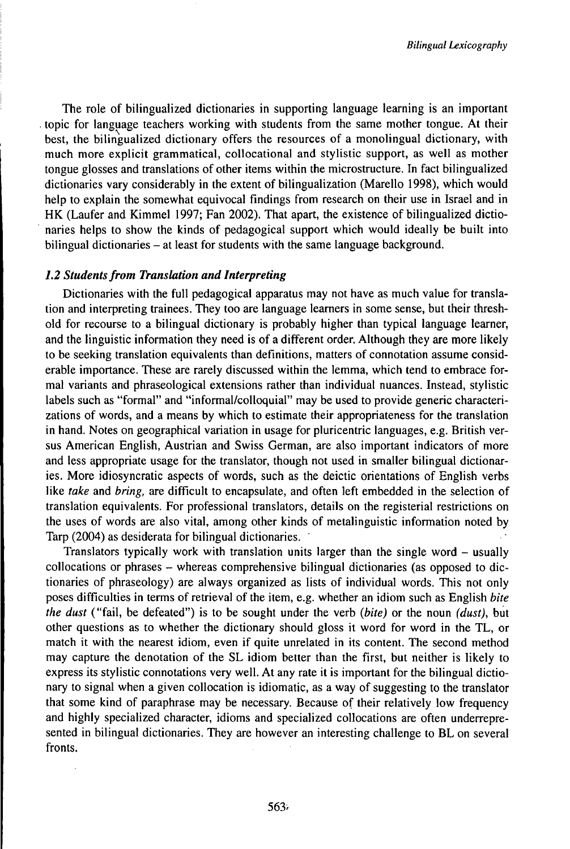The role of bilingualized dictionaries in supporting language learning is an important topic for language teachers working with students from the same mother tongue. At their best, the bilingualized dictionary offers the resources of a monolingual dictionary, with much more explicit grammatical, collocational and stylistic support, as well as mother tongue glosses and translations of other items within the microstructure. In fact bilingualized dictionaries vary considerably in the extent of bilingualization (Marello 1998), which would help to explain the somewhat equivocal findings from research on their use in Israel and in HK (Laufer and Kimmel 1997; Fan 2002). That apart, the existence of bilingualized dictionaries helps to show the kinds of pedagogical support which would ideally be built into bilingual dictionaries – at least for students with the same language background.

## *1.2 Studentsfrom Translation andInterpreting*

Dictionaries with the full pedagogical apparatus may not have as much value for translation and interpreting trainees. They too are language learners in some sense, but their threshold for recourse to a bilingual dictionary is probably higher than typical language learner, and the linguistic information they need is of a different order. Although they are more likely to be seeking translation equivalents than definitions, matters of connotation assume considerable importance. These are rarely discussed within the lemma, which tend to embrace formal variants and phraseological extensions rather than individual nuances. Instead, stylistic labels such as "formal" and "informal/colloquial" may be used to provide generic characterizations of words, and a means by which to estimate their appropriateness for the translation in hand. Notes on geographical variation in usage for pluricentric languages, e.g. British versus American English, Austrian and Swiss German, are also important indicators of more and less appropriate usage for the translator, though not used in smaller bilingual dictionaries. More idiosyncratic aspects of words, such as the deictic orientations of English verbs like *take* and *bring,* are difficult to encapsulate, and often left embedded in the selection of translation equivalents. For professional translators, details on the registerial restrictions on the uses of words are also vital, among other kinds of metalinguistic information noted by Tarp (2004) as desiderata for bilingual dictionaries.

Translators typically work with translation units larger than the single word - usually collocations or phrases -whereas comprehensive bilingual dictionaries (as opposed to dictionaries of phraseology) are always organized as lists of individual words. This not only poses difficulties in terms of retrieval of the item, e.g. whether an idiom such as English *bite the dust* ("fail, be defeated") is to be sought under the verb *(bite)* or the noun *(dust),* but other questions as to whether the dictionary should gloss it word for word in the TL, or match it with the nearest idiom, even if quite unrelated in its content. The second method may capture the denotation of the SL idiom better than the first, but neither is likely to express its stylistic connotations very well. At any rate it is important for the bilingual dictionary to signal when a given collocation is idiomatic, as a way of suggesting to the translator that some kind of paraphrase may be necessary. Because of their relatively low frequency and highly specialized character, idioms and specialized collocations are often underrepresented in bilingual dictionaries. They are however an interesting challenge to BL on several fronts.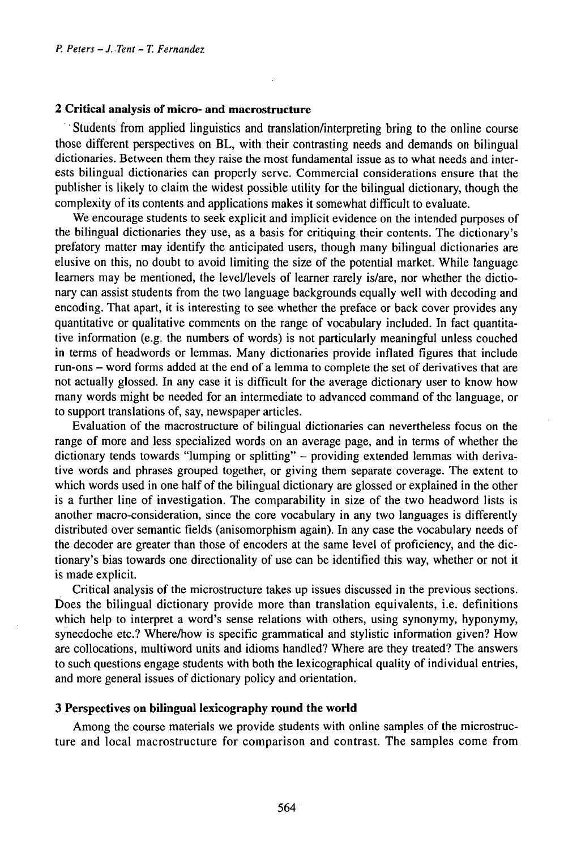### *2* **Critical analysis of micro- and macrostructure**

Students from applied linguistics and translation/interpreting bring to the online course those different perspectives on BL, with their contrasting needs and demands on bilingual dictionaries. Between them they raise the most fundamental issue as to what needs and interests bilingual dictionaries can properly serve. Commercial considerations ensure that the publisher is likely to claim the widest possible utility for the bilingual dictionary, though the complexity of its contents and applications makes it somewhat difficult to evaluate.

We encourage students to seek explicit and implicit evidence on the intended purposes of the bilingual dictionaries they use, as a basis for critiquing their contents. The dictionary's prefatory matter may identify the anticipated users, though many bilingual dictionaries are elusive on this, no doubt to avoid limiting the size of the potential market. While language learners may be mentioned, the level/levels of learner rarely is/are, nor whether the dictionary can assist students from the two language backgrounds equally well with decoding and encoding. That apart, it is interesting to see whether the preface or back cover provides any quantitative or qualitative comments on the range of vocabulary included. In fact quantitative information (e.g. the numbers of words) is not particularly meaningful unless couched in terms of headwords or lemmas. Many dictionaries provide inflated figures that include run-ons - word forms added at the end of <sup>a</sup> lemma to complete the set of derivatives that are not actually glossed. In any case it is difficult for the average dictionary user to know how many words might be needed for an intermediate to advanced command of the language, or to support translations of, say, newspaper articles.

Evaluation of the macrostructure of bilingual dictionaries can nevertheless focus on the range of more and less specialized words on an average page, and in terms of whether the dictionary tends towards "lumping or splitting" - providing extended lemmas with derivative words and phrases grouped together, or giving them separate coverage. The extent to which words used in one half of the bilingual dictionary are glossed or explained in the other is a further line of investigation. The comparability in size of the two headword lists is another macro-consideration, since the core vocabulary in any two languages is differently distributed over semantic fields (anisomorphism again). In any case the vocabulary needs of the decoder are greater than those of encoders at the same level of proficiency, and the dictionary's bias towards one directionality of use can be identified this way, whether or not it is made explicit.

Critical analysis of the microstructure takes up issues discussed in the previous sections. Does the bilingual dictionary provide more than translation equivalents, i.e. definitions which help to interpret a word's sense relations with others, using synonymy, hyponymy, synecdoche etc.? Where/how is specific grammatical and stylistic information given? How are collocations, multiword units and idioms handled? Where are they treated? The answers to such questions engage students with both the lexicographical quality of individual entries, and more general issues of dictionary policy and orientation.

## **3 Perspectives on bilingual lexicography round the world**

Among the course materials we provide students with online samples of the microstructure and local macrostructure for comparison and contrast. The samples come from